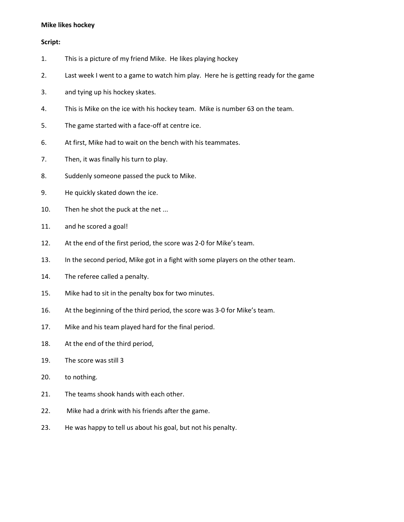#### **Mike likes hockey**

#### **Script:**

- 1. This is a picture of my friend Mike. He likes playing hockey
- 2. Last week I went to a game to watch him play. Here he is getting ready for the game
- 3. and tying up his hockey skates.
- 4. This is Mike on the ice with his hockey team. Mike is number 63 on the team.
- 5. The game started with a face-off at centre ice.
- 6. At first, Mike had to wait on the bench with his teammates.
- 7. Then, it was finally his turn to play.
- 8. Suddenly someone passed the puck to Mike.
- 9. He quickly skated down the ice.
- 10. Then he shot the puck at the net ...
- 11. and he scored a goal!
- 12. At the end of the first period, the score was 2-0 for Mike's team.
- 13. In the second period, Mike got in a fight with some players on the other team.
- 14. The referee called a penalty.
- 15. Mike had to sit in the penalty box for two minutes.
- 16. At the beginning of the third period, the score was 3-0 for Mike's team.
- 17. Mike and his team played hard for the final period.
- 18. At the end of the third period,
- 19. The score was still 3
- 20. to nothing.
- 21. The teams shook hands with each other.
- 22. Mike had a drink with his friends after the game.
- 23. He was happy to tell us about his goal, but not his penalty.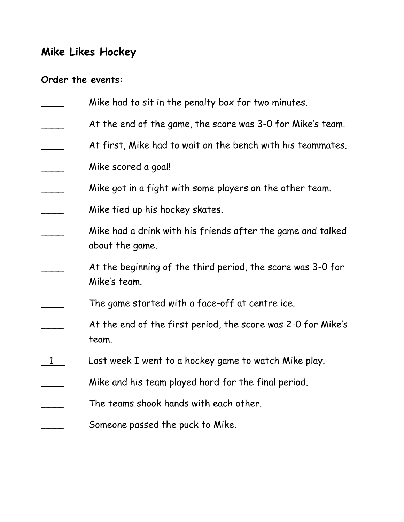# **Mike Likes Hockey**

## **Order the events:**

| Mike had to sit in the penalty box for two minutes.                            |
|--------------------------------------------------------------------------------|
| At the end of the game, the score was 3-0 for Mike's team.                     |
| At first, Mike had to wait on the bench with his teammates.                    |
| Mike scored a goal!                                                            |
| Mike got in a fight with some players on the other team.                       |
| Mike tied up his hockey skates.                                                |
| Mike had a drink with his friends after the game and talked<br>about the game. |
| At the beginning of the third period, the score was 3-0 for<br>Mike's team.    |
| The game started with a face-off at centre ice.                                |
| At the end of the first period, the score was 2-0 for Mike's<br>team.          |
| Last week I went to a hockey game to watch Mike play.                          |
| Mike and his team played hard for the final period.                            |
| The teams shook hands with each other.                                         |
| Someone passed the puck to Mike.                                               |